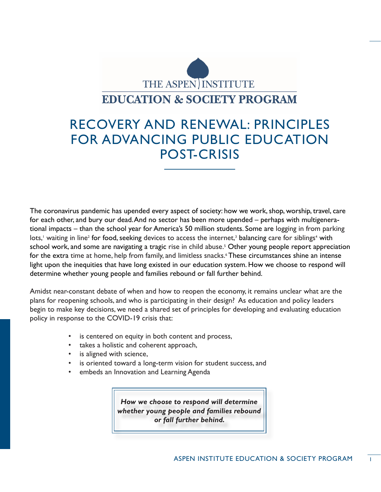

# RECOVERY AND RENEWAL: PRINCIPLES FOR ADVANCING PUBLIC EDUCATION POST-CRISIS

The coronavirus pandemic has upended every aspect of society: how we work, shop, worship, travel, care for each other, and bury our dead. And no sector has been more upended – perhaps with multigenerational impacts – than the school year for America's 50 million students. Some are logging in from parking lots,<sup>1</sup> waiting in line<sup>2</sup> for food, seeking devices to access the internet,<sup>3</sup> balancing care for siblings<sup>4</sup> with school work, and some are navigating a tragic rise in child abuse.<sup>5</sup> Other young people report appreciation for the extra time at home, help from family, and limitless snacks.6 These circumstances shine an intense light upon the inequities that have long existed in our education system. How we choose to respond will determine whether young people and families rebound or fall further behind.

Amidst near-constant debate of when and how to reopen the economy, it remains unclear what are the plans for reopening schools, and who is participating in their design? As education and policy leaders begin to make key decisions, we need a shared set of principles for developing and evaluating education policy in response to the COVID-19 crisis that:

- is centered on equity in both content and process,
- takes a holistic and coherent approach,
- is aligned with science,
- is oriented toward a long-term vision for student success, and
- embeds an Innovation and Learning Agenda

*How we choose to respond will determine whether young people and families rebound or fall further behind.*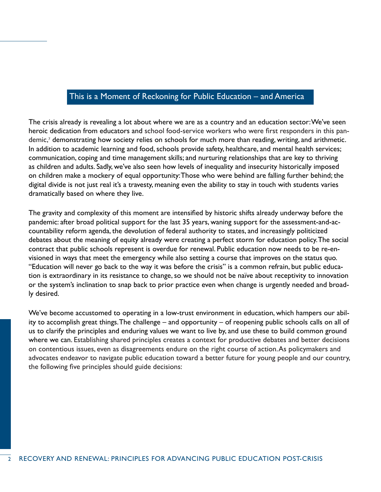# This is a Moment of Reckoning for Public Education – and America

The crisis already is revealing a lot about where we are as a country and an education sector: We've seen heroic dedication from educators and school food-service workers who were first responders in this pandemic,<sup>7</sup> demonstrating how society relies on schools for much more than reading, writing, and arithmetic. In addition to academic learning and food, schools provide safety, healthcare, and mental health services; communication, coping and time management skills; and nurturing relationships that are key to thriving as children and adults. Sadly, we've also seen how levels of inequality and insecurity historically imposed on children make a mockery of equal opportunity: Those who were behind are falling further behind; the digital divide is not just real it's a travesty, meaning even the ability to stay in touch with students varies dramatically based on where they live.

The gravity and complexity of this moment are intensified by historic shifts already underway before the pandemic: after broad political support for the last 35 years, waning support for the assessment-and-accountability reform agenda, the devolution of federal authority to states, and increasingly politicized debates about the meaning of equity already were creating a perfect storm for education policy. The social contract that public schools represent is overdue for renewal. Public education now needs to be re-envisioned in ways that meet the emergency while also setting a course that improves on the status quo. "Education will never go back to the way it was before the crisis" is a common refrain, but public education is extraordinary in its resistance to change, so we should not be naïve about receptivity to innovation or the system's inclination to snap back to prior practice even when change is urgently needed and broadly desired.

We've become accustomed to operating in a low-trust environment in education, which hampers our ability to accomplish great things. The challenge – and opportunity – of reopening public schools calls on all of us to clarify the principles and enduring values we want to live by, and use these to build common ground where we can. Establishing shared principles creates a context for productive debates and better decisions on contentious issues, even as disagreements endure on the right course of action. As policymakers and advocates endeavor to navigate public education toward a better future for young people and our country, the following five principles should guide decisions: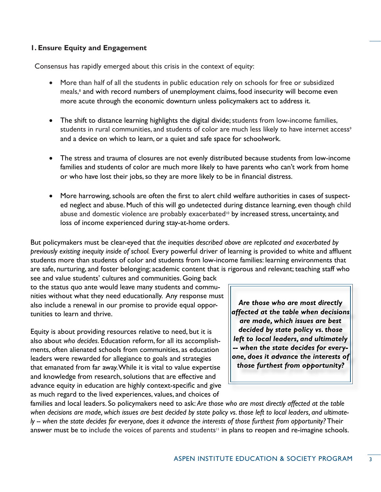# **1. Ensure Equity and Engagement**

Consensus has rapidly emerged about this crisis in the context of equity:

- More than half of all the students in public education rely on schools for free or subsidized meals,<sup>8</sup> and with record numbers of unemployment claims, food insecurity will become even more acute through the economic downturn unless policymakers act to address it.
- The shift to distance learning highlights the digital divide; students from low-income families, students in rural communities, and students of color are much less likely to have internet access<sup>9</sup> and a device on which to learn, or a quiet and safe space for schoolwork.
- The stress and trauma of closures are not evenly distributed because students from low-income families and students of color are much more likely to have parents who can't work from home or who have lost their jobs, so they are more likely to be in financial distress.
- More harrowing, schools are often the first to alert child welfare authorities in cases of suspected neglect and abuse. Much of this will go undetected during distance learning, even though child abuse and domestic violence are probably exacerbated<sup>10</sup> by increased stress, uncertainty, and loss of income experienced during stay-at-home orders.

But policymakers must be clear-eyed that *the inequities described above are replicated and exacerbated by previously existing inequity inside of school.* Every powerful driver of learning is provided to white and affluent students more than students of color and students from low-income families: learning environments that are safe, nurturing, and foster belonging; academic content that is rigorous and relevant; teaching staff who

see and value students' cultures and communities. Going back to the status quo ante would leave many students and communities without what they need educationally. Any response must also include a renewal in our promise to provide equal opportunities to learn and thrive.

Equity is about providing resources relative to need, but it is also about *who decides*. Education reform, for all its accomplishments, often alienated schools from communities, as education leaders were rewarded for allegiance to goals and strategies that emanated from far away. While it is vital to value expertise and knowledge from research, solutions that are effective and advance equity in education are highly context-specific and give as much regard to the lived experiences, values, and choices of

*Are those who are most directly affected at the table when decisions are made, which issues are best decided by state policy vs. those left to local leaders, and ultimately -- when the state decides for everyone, does it advance the interests of those furthest from opportunity?* 

families and local leaders. So policymakers need to ask: *Are those who are most directly affected at the table when decisions are made, which issues are best decided by state policy vs. those left to local leaders, and ultimately -- when the state decides for everyone, does it advance the interests of those furthest from opportunity?* Their answer must be to include the voices of parents and students<sup>11</sup> in plans to reopen and re-imagine schools.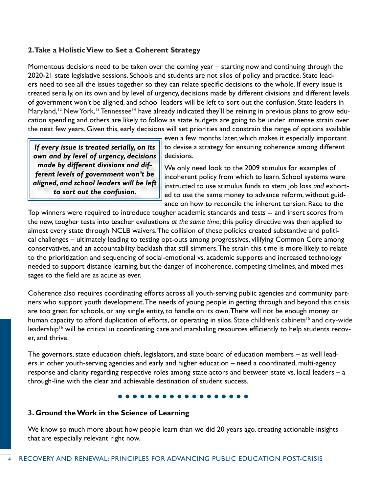# **2. Take a Holistic View to Set a Coherent Strategy**

Momentous decisions need to be taken over the coming year – starting now and continuing through the 2020-21 state legislative sessions. Schools and students are not silos of policy and practice. State leaders need to see all the issues together so they can relate specific decisions to the whole. If every issue is treated serially, on its own and by level of urgency, decisions made by different divisions and different levels of government won't be aligned, and school leaders will be left to sort out the confusion. State leaders in Maryland,<sup>12</sup> New York,<sup>13</sup> Tennessee<sup>14</sup> have already indicated they'll be reining in previous plans to grow education spending and others are likely to follow as state budgets are going to be under immense strain over the next few years. Given this, early decisions will set priorities and constrain the range of options available

*If every issue is treated serially, on its own and by level of urgency, decisions made by different divisions and different levels of government won't be aligned, and school leaders will be left to sort out the confusion.*

even a few months later, which makes it especially important to devise a strategy for ensuring coherence among different decisions.

We only need look to the 2009 stimulus for examples of incoherent policy from which to learn. School systems were instructed to use stimulus funds to stem job loss *and* exhorted to use the same money to advance reform, without guidance on how to reconcile the inherent tension. Race to the

Top winners were required to introduce tougher academic standards and tests -- and insert scores from the new, tougher tests into teacher evaluations *at the same time*; this policy directive was then applied to almost every state through NCLB waivers. The collision of these policies created substantive and political challenges – ultimately leading to testing opt-outs among progressives, vilifying Common Core among conservatives, and an accountability backlash that still simmers. The strain this time is more likely to relate to the prioritization and sequencing of social-emotional vs. academic supports and increased technology needed to support distance learning, but the danger of incoherence, competing timelines, and mixed messages to the field are as acute as ever.

Coherence also requires coordinating efforts across all youth-serving public agencies and community partners who support youth development. The needs of young people in getting through and beyond this crisis are too great for schools, or any single entity, to handle on its own. There will not be enough money or human capacity to afford duplication of efforts, or operating in silos. State children's cabinets<sup>15</sup> and city-wide leadership<sup>16</sup> will be critical in coordinating care and marshaling resources efficiently to help students recover, and thrive.

The governors, state education chiefs, legislators, and state board of education members – as well leaders in other youth-serving agencies and early and higher education – need a coordinated, multi-agency response and clarity regarding respective roles among state actors and between state vs. local leaders – a through-line with the clear and achievable destination of student success.

### **3. Ground the Work in the Science of Learning**

We know so much more about how people learn than we did 20 years ago, creating actionable insights that are especially relevant right now.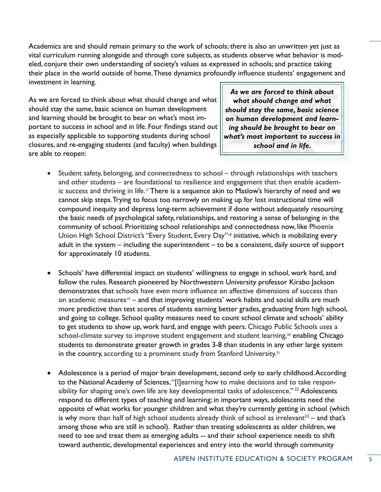Academics are and should remain primary to the work of schools; there is also an unwritten yet just as vital curriculum running alongside and through core subjects, as students observe what behavior is modeled, conjure their own understanding of society's values as expressed in schools; and practice taking their place in the world outside of home. These dynamics profoundly influence students' engagement and investment in learning.

As we are forced to think about what should change and what should stay the same, basic science on human development and learning should be brought to bear on what's most important to success in school and in life. Four findings stand out as especially applicable to supporting students during school closures, and re-engaging students (and faculty) when buildings are able to reopen:

*As we are forced to think about what should change and what should stay the same, basic science on human development and learning should be brought to bear on what's most important to success in school and in life.* 

- Student safety, belonging, and connectedness to school through relationships with teachers and other students – are foundational to resilience and engagement that then enable academic success and thriving in life.<sup>17</sup> There is a sequence akin to Maslow's hierarchy of need and we cannot skip steps. Trying to focus too narrowly on making up for lost instructional time will compound inequity and depress long-term achievement if done without adequately resourcing the basic needs of psychological safety, relationships, and restoring a sense of belonging in the community of school. Prioritizing school relationships and connectedness now, like Phoenix Union High School District's "Every Student, Every Day"<sup>18</sup> initiative, which is mobilizing every adult in the system – including the superintendent – to be a consistent, daily source of support for approximately 10 students.
- Schools' have differential impact on students' willingness to engage in school, work hard, and follow the rules. Research pioneered by Northwestern University professor Kirabo Jackson demonstrates that schools have even more influence on affective dimensions of success than on academic measures<sup>19</sup> – and that improving students' work habits and social skills are much more predictive than test scores of students earning better grades, graduating from high school, and going to college. School quality measures need to count school climate and schools' ability to get students to show up, work hard, and engage with peers. Chicago Public Schools uses a school-climate survey to improve student engagement and student learning,<sup>20</sup> enabling Chicago students to demonstrate greater growth in grades 3-8 than students in any other large system in the country, according to a prominent study from Stanford University.<sup>21</sup>
- Adolescence is a period of major brain development, second only to early childhood. According to the National Academy of Sciences, "[l]earning how to make decisions and to take responsibility for shaping one's own life are key developmental tasks of adolescence."<sup>22</sup> Adolescents respond to different types of teaching and learning; in important ways, adolescents need the opposite of what works for younger children and what they're currently getting in school (which is why more than half of high school students already think of school as irrelevant<sup>23</sup> – and that's among those who are still in school). Rather than treating adolescents as older children, we need to see and treat them as emerging adults -- and their school experience needs to shift toward authentic, developmental experiences and entry into the world through community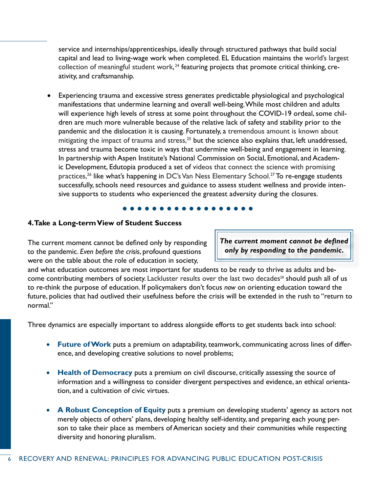service and internships/apprenticeships, ideally through structured pathways that build social capital and lead to living-wage work when completed. EL Education maintains the world's largest collection of meaningful student work, $24$  featuring projects that promote critical thinking, creativity, and craftsmanship.

• Experiencing trauma and excessive stress generates predictable physiological and psychological manifestations that undermine learning and overall well-being. While most children and adults will experience high levels of stress at some point throughout the COVID-19 ordeal, some children are much more vulnerable because of the relative lack of safety and stability prior to the pandemic and the dislocation it is causing. Fortunately, a tremendous amount is known about mitigating the impact of trauma and stress, $^{25}$  but the science also explains that, left unaddressed, stress and trauma become toxic in ways that undermine well-being and engagement in learning. In partnership with Aspen Institute's National Commission on Social, Emotional, and Academic Development, Edutopia produced a set of videos that connect the science with promising practices,<sup>26</sup> like what's happening in DC's Van Ness Elementary School.<sup>27</sup> To re-engage students successfully, schools need resources and guidance to assess student wellness and provide intensive supports to students who experienced the greatest adversity during the closures.

# **4. Take a Long-term View of Student Success**

The current moment cannot be defined only by responding to the pandemic. *Even before the crisis*, profound questions were on the table about the role of education in society,

*The current moment cannot be defined only by responding to the pandemic.* 

and what education outcomes are most important for students to be ready to thrive as adults and become contributing members of society. Lackluster results over the last two decades<sup>28</sup> should push all of us to re-think the purpose of education. If policymakers don't focus *now* on orienting education toward the future, policies that had outlived their usefulness before the crisis will be extended in the rush to "return to normal."

Three dynamics are especially important to address alongside efforts to get students back into school:

- • **Future of Work** puts a premium on adaptability, teamwork, communicating across lines of difference, and developing creative solutions to novel problems;
- **Health of Democracy** puts a premium on civil discourse, critically assessing the source of information and a willingness to consider divergent perspectives and evidence, an ethical orientation, and a cultivation of civic virtues.
- **A Robust Conception of Equity** puts a premium on developing students' agency as actors not merely objects of others' plans, developing healthy self-identity, and preparing each young person to take their place as members of American society and their communities while respecting diversity and honoring pluralism.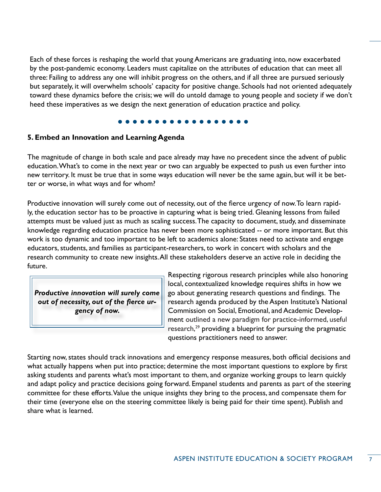Each of these forces is reshaping the world that young Americans are graduating into, now exacerbated by the post-pandemic economy. Leaders must capitalize on the attributes of education that can meet all three: Failing to address any one will inhibit progress on the others, and if all three are pursued seriously but separately, it will overwhelm schools' capacity for positive change. Schools had not oriented adequately toward these dynamics before the crisis; we will do untold damage to young people and society if we don't heed these imperatives as we design the next generation of education practice and policy.

# **5. Embed an Innovation and Learning Agenda**

The magnitude of change in both scale and pace already may have no precedent since the advent of public education. What's to come in the next year or two can arguably be expected to push us even further into new territory. It must be true that in some ways education will never be the same again, but will it be better or worse, in what ways and for whom?

Productive innovation will surely come out of necessity, out of the fierce urgency of now. To learn rapidly, the education sector has to be proactive in capturing what is being tried. Gleaning lessons from failed attempts must be valued just as much as scaling success. The capacity to document, study, and disseminate knowledge regarding education practice has never been more sophisticated -- or more important. But this work is too dynamic and too important to be left to academics alone: States need to activate and engage educators, students, and families as participant-researchers, to work in concert with scholars and the research community to create new insights. All these stakeholders deserve an active role in deciding the future.

*Productive innovation will surely come out of necessity, out of the fierce urgency of now.* 

Respecting rigorous research principles while also honoring local, contextualized knowledge requires shifts in how we go about generating research questions and findings. The research agenda produced by the Aspen Institute's National Commission on Social, Emotional, and Academic Development outlined a new paradigm for practice-informed, useful research,<sup>29</sup> providing a blueprint for pursuing the pragmatic questions practitioners need to answer.

Starting now, states should track innovations and emergency response measures, both official decisions and what actually happens when put into practice; determine the most important questions to explore by first asking students and parents what's most important to them, and organize working groups to learn quickly and adapt policy and practice decisions going forward. Empanel students and parents as part of the steering committee for these efforts. Value the unique insights they bring to the process, and compensate them for their time (everyone else on the steering committee likely is being paid for their time spent). Publish and share what is learned.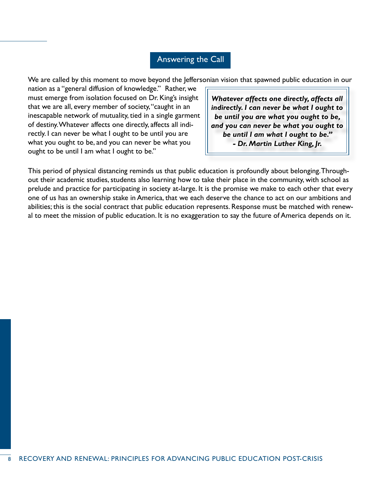# Answering the Call

We are called by this moment to move beyond the Jeffersonian vision that spawned public education in our

nation as a "general diffusion of knowledge." Rather, we must emerge from isolation focused on Dr. King's insight that we are all, every member of society, "caught in an inescapable network of mutuality, tied in a single garment of destiny. Whatever affects one directly, affects all indirectly. I can never be what I ought to be until you are what you ought to be, and you can never be what you ought to be until I am what I ought to be."

*Whatever affects one directly, affects all indirectly. I can never be what I ought to be until you are what you ought to be, and you can never be what you ought to be until I am what I ought to be." - Dr. Martin Luther King, Jr.*

This period of physical distancing reminds us that public education is profoundly about belonging. Throughout their academic studies, students also learning how to take their place in the community, with school as prelude and practice for participating in society at-large. It is the promise we make to each other that every one of us has an ownership stake in America, that we each deserve the chance to act on our ambitions and abilities; this is the social contract that public education represents. Response must be matched with renewal to meet the mission of public education. It is no exaggeration to say the future of America depends on it.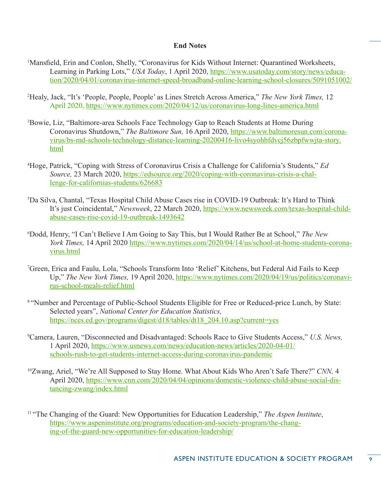# **End Notes**

- <sup>1</sup>Mansfield, Erin and Conlon, Shelly, "Coronavirus for Kids Without Internet: Quarantined Worksheets, Learning in Parking Lots," *USA Today*, 1 April 2020, [https://www.usatoday.com/story/news/educa](https://www.usatoday.com/story/news/education/2020/04/01/coronavirus-internet-speed-broadband-online-learning-school-closures/5091051002/)[tion/2020/04/01/coronavirus-internet-speed-broadband-online-learning-school-closures/5091051002/](https://www.usatoday.com/story/news/education/2020/04/01/coronavirus-internet-speed-broadband-online-learning-school-closures/5091051002/)
- 2 Healy, Jack, "It's 'People, People, People' as Lines Stretch Across America," *The New York Times,* 12 April 2020,<https://www.nytimes.com/2020/04/12/us/coronavirus-long-lines-america.html>
- <sup>3</sup>Bowie, Liz, "Baltimore-area Schools Face Technology Gap to Reach Students at Home During Coronavirus Shutdown," *The Baltimore Sun,* 16 April 2020, [https://www.baltimoresun.com/corona](https://www.baltimoresun.com/coronavirus/bs-md-schools-technology-distance-learning-20200416-livo4syohbfdvcj56zbpfwwjta-story.html)[virus/bs-md-schools-technology-distance-learning-20200416-livo4syohbfdvcj56zbpfwwjta-story.](https://www.baltimoresun.com/coronavirus/bs-md-schools-technology-distance-learning-20200416-livo4syohbfdvcj56zbpfwwjta-story.html) [html](https://www.baltimoresun.com/coronavirus/bs-md-schools-technology-distance-learning-20200416-livo4syohbfdvcj56zbpfwwjta-story.html)
- 4 Hoge, Patrick, "Coping with Stress of Coronavirus Crisis a Challenge for California's Students," *Ed Source,* 23 March 2020, [https://edsource.org/2020/coping-with-coronavirus-crisis-a-chal](https://edsource.org/2020/coping-with-coronavirus-crisis-a-challenge-for-californias-students/626683)[lenge-for-californias-students/626683](https://edsource.org/2020/coping-with-coronavirus-crisis-a-challenge-for-californias-students/626683)
- 5 Da Silva, Chantal, "Texas Hospital Child Abuse Cases rise in COVID-19 Outbreak: It's Hard to Think It's just Coincidental," *Newsweek*, 22 March 2020, [https://www.newsweek.com/texas-hospital-child](https://www.newsweek.com/texas-hospital-child-abuse-cases-rise-covid-19-outbreak-1493642)[abuse-cases-rise-covid-19-outbreak-1493642](https://www.newsweek.com/texas-hospital-child-abuse-cases-rise-covid-19-outbreak-1493642)
- 6 Dodd, Henry, "I Can't Believe I Am Going to Say This, but I Would Rather Be at School," *The New York Times,* 14 April 2020 [https://www.nytimes.com/2020/04/14/us/school-at-home-students-corona](https://www.nytimes.com/2020/04/14/us/school-at-home-students-coronavirus.html)[virus.html](https://www.nytimes.com/2020/04/14/us/school-at-home-students-coronavirus.html)
- 7 Green, Erica and Faulu, Lola, "Schools Transform Into 'Relief' Kitchens, but Federal Aid Fails to Keep Up," *The New York Times,* 19 April 2020, [https://www.nytimes.com/2020/04/19/us/politics/coronavi](https://www.nytimes.com/2020/04/19/us/politics/coronavirus-school-meals-relief.html)[rus-school-meals-relief.html](https://www.nytimes.com/2020/04/19/us/politics/coronavirus-school-meals-relief.html)
- 8 "Number and Percentage of Public-School Students Eligible for Free or Reduced-price Lunch, by State: Selected years", *National Center for Education Statistics,* [https://nces.ed.gov/programs/digest/d18/tables/dt18\\_204.10.asp?current=yes](https://nces.ed.gov/programs/digest/d18/tables/dt18_204.10.asp?current=yes)
- 9 Camera, Lauren, "Disconnected and Disadvantaged: Schools Race to Give Students Access," *U.S. News,*  1 April 2020, [https://www.usnews.com/news/education-news/articles/2020-04-01/](https://www.usnews.com/news/education-news/articles/2020-04-01/schools-rush-to-get-students-internet-access-during-coronavirus-pandemic) [schools-rush-to-get-students-internet-access-during-coronavirus-pandemic](https://www.usnews.com/news/education-news/articles/2020-04-01/schools-rush-to-get-students-internet-access-during-coronavirus-pandemic)
- 10Zwang, Ariel, "We're All Supposed to Stay Home. What About Kids Who Aren't Safe There?" *CNN,* 4 April 2020, [https://www.cnn.com/2020/04/04/opinions/domestic-violence-child-abuse-social-dis](https://www.cnn.com/2020/04/04/opinions/domestic-violence-child-abuse-social-distancing-zwang/index.html)[tancing-zwang/index.html](https://www.cnn.com/2020/04/04/opinions/domestic-violence-child-abuse-social-distancing-zwang/index.html)
- 11 "The Changing of the Guard: New Opportunities for Education Leadership," *The Aspen Institute*, [https://www.aspeninstitute.org/programs/education-and-society-program/the-chang](https://www.aspeninstitute.org/programs/education-and-society-program/the-changing-of-the-guard-new-opportunities-for-education-leadership/)[ing-of-the-guard-new-opportunities-for-education-leadership/](https://www.aspeninstitute.org/programs/education-and-society-program/the-changing-of-the-guard-new-opportunities-for-education-leadership/)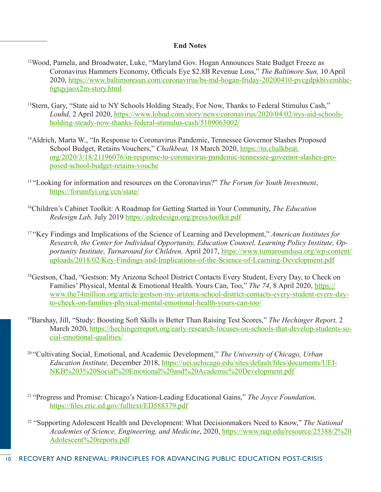# **End Notes**

- 12Wood, Pamela, and Broadwater, Luke, "Maryland Gov. Hogan Announces State Budget Freeze as Coronavirus Hammers Economy, Officials Eye \$2.8B Revenue Loss," *The Baltimore Sun,* 10 April 2020, [https://www.baltimoresun.com/coronavirus/bs-md-hogan-friday-20200410-pvcgdpkbivemhhc](https://www.baltimoresun.com/coronavirus/bs-md-hogan-friday-20200410-pvcgdpkbivemhhc6gtqyjaox2m-story.html)-[6gtqyjaox2m-story.html](https://www.baltimoresun.com/coronavirus/bs-md-hogan-friday-20200410-pvcgdpkbivemhhc6gtqyjaox2m-story.html)
- <sup>13</sup>Stern, Gary, "State aid to NY Schools Holding Steady, For Now, Thanks to Federal Stimulus Cash," *Louhd,* 2 April 2020, [https://www.lohud.com/story/news/coronavirus/2020/04/02/nys-aid-schools](https://www.lohud.com/story/news/coronavirus/2020/04/02/nys-aid-schools-holding-steady-now-thanks-federal-stimulus-cash/5109063002/)[holding-steady-now-thanks-federal-stimulus-cash/5109063002/](https://www.lohud.com/story/news/coronavirus/2020/04/02/nys-aid-schools-holding-steady-now-thanks-federal-stimulus-cash/5109063002/)
- <sup>14</sup>Aldrich, Marta W., "In Response to Coronavirus Pandemic, Tennessee Governor Slashes Proposed School Budget, Retains Vouchers," *Chalkbeat,* 18 March 2020, [https://tn.chalkbeat.](https://tn.chalkbeat.org/2020/3/18/21196076/in-response-to-coronavirus-pandemic-tennessee-governor-slashes-proposed-school-budget-retains-vouche) [org/2020/3/18/21196076/in-response-to-coronavirus-pandemic-tennessee-governor-slashes-pro](https://tn.chalkbeat.org/2020/3/18/21196076/in-response-to-coronavirus-pandemic-tennessee-governor-slashes-proposed-school-budget-retains-vouche)[posed-school-budget-retains-vouche](https://tn.chalkbeat.org/2020/3/18/21196076/in-response-to-coronavirus-pandemic-tennessee-governor-slashes-proposed-school-budget-retains-vouche)
- 15 "Looking for information and resources on the Coronavirus?" *The Forum for Youth Investment*, <https://forumfyi.org/ccn/state/>
- 16Children's Cabinet Toolkit: A Roadmap for Getting Started in Your Community, *The Education Redesign Lab,* July 2019 <https://edredesign.org/press/toolkit.pdf>
- 17 "Key Findings and Implications of the Science of Learning and Development," *American Institutes for Research, the Center for Individual Opportunity, Education Counsel, Learning Policy Institute, Opportunity Institute, Turnaround for Children,* April 2017, [https://www.turnaroundusa.org/wp-content/](https://www.turnaroundusa.org/wp-content/uploads/2018/02/Key-Findings-and-Implications-of-the-Science-of-Learning-Development.pdf) [uploads/2018/02/Key-Findings-and-Implications-of-the-Science-of-Learning-Development.pdf](https://www.turnaroundusa.org/wp-content/uploads/2018/02/Key-Findings-and-Implications-of-the-Science-of-Learning-Development.pdf)
- <sup>18</sup>Gestson, Chad, "Gestson: My Arizona School District Contacts Every Student, Every Day, to Check on Families' Physical, Mental & Emotional Health. Yours Can, Too," *The 74*, 8 April 2020, [https://](https://www.the74million.org/article/gestson-my-arizona-school-district-contacts-every-student-every-day-to-check-on-families-physical-mental-emotional-health-yours-can-too/) [www.the74million.org/article/gestson-my-arizona-school-district-contacts-every-student-every-day](https://www.the74million.org/article/gestson-my-arizona-school-district-contacts-every-student-every-day-to-check-on-families-physical-mental-emotional-health-yours-can-too/)[to-check-on-families-physical-mental-emotional-health-yours-can-too/](https://www.the74million.org/article/gestson-my-arizona-school-district-contacts-every-student-every-day-to-check-on-families-physical-mental-emotional-health-yours-can-too/)
- 19Barshay, Jill, "Study: Boosting Soft Skills is Better Than Raising Test Scores," *The Hechinger Report,* 2 March 2020, [https://hechingerreport.org/early-research-focuses-on-schools-that-develop-students-so](https://hechingerreport.org/early-research-focuses-on-schools-that-develop-students-social-emotional-qualities/)[cial-emotional-qualities/](https://hechingerreport.org/early-research-focuses-on-schools-that-develop-students-social-emotional-qualities/)
- 20 "Cultivating Social, Emotional, and Academic Development," *The University of Chicago, Urban Education Institute,* December 2018, [https://uei.uchicago.edu/sites/default/files/documents/UEI-](https://uei.uchicago.edu/sites/default/files/documents/UEI-NKB%203%20Social%20Emotional%20and%20Academic%20Development.pdf)[NKB%203%20Social%20Emotional%20and%20Academic%20Development.pdf](https://uei.uchicago.edu/sites/default/files/documents/UEI-NKB%203%20Social%20Emotional%20and%20Academic%20Development.pdf)
- 21 "Progress and Promise: Chicago's Nation-Leading Educational Gains," *The Joyce Foundation,* <https://files.eric.ed.gov/fulltext/ED588379.pdf>
- 22 "Supporting Adolescent Health and Development: What Decisionmakers Need to Know," *The National Academies of Science, Engineering, and Medicine*, 2020, [https://www.nap.edu/resource/25388/2%20](https://www.nap.edu/resource/25388/2%20Adolescent%20reports.pdf) [Adolescent%20reports.pdf](https://www.nap.edu/resource/25388/2%20Adolescent%20reports.pdf)